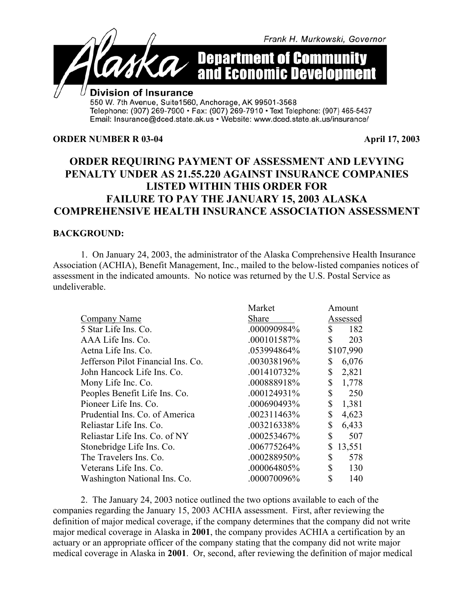

Telephone: (907) 269-7900 · Fax: (907) 269-7910 · Text Telephone: (907) 465-5437 Email: Insurance@dced.state.ak.us • Website: www.dced.state.ak.us/insurance/

#### **ORDER NUMBER R 03-04 April 17, 2003**

# **ORDER REQUIRING PAYMENT OF ASSESSMENT AND LEVYING PENALTY UNDER AS 21.55.220 AGAINST INSURANCE COMPANIES LISTED WITHIN THIS ORDER FOR FAILURE TO PAY THE JANUARY 15, 2003 ALASKA COMPREHENSIVE HEALTH INSURANCE ASSOCIATION ASSESSMENT**

#### **BACKGROUND:**

1. On January 24, 2003, the administrator of the Alaska Comprehensive Health Insurance Association (ACHIA), Benefit Management, Inc., mailed to the below-listed companies notices of assessment in the indicated amounts. No notice was returned by the U.S. Postal Service as undeliverable.

|                                    | Market      | Amount       |  |
|------------------------------------|-------------|--------------|--|
| Company Name                       | Share       | Assessed     |  |
| 5 Star Life Ins. Co.               | .000090984% | \$<br>182    |  |
| AAA Life Ins. Co.                  | .000101587% | \$<br>203    |  |
| Aetna Life Ins. Co.                | .053994864% | \$107,990    |  |
| Jefferson Pilot Financial Ins. Co. | .003038196% | \$<br>6,076  |  |
| John Hancock Life Ins. Co.         | .001410732% | \$<br>2,821  |  |
| Mony Life Inc. Co.                 | .000888918% | \$<br>1,778  |  |
| Peoples Benefit Life Ins. Co.      | .000124931% | \$<br>250    |  |
| Pioneer Life Ins. Co.              | .000690493% | \$<br>1,381  |  |
| Prudential Ins. Co. of America     | .002311463% | \$<br>4,623  |  |
| Reliastar Life Ins. Co.            | .003216338% | \$<br>6,433  |  |
| Reliastar Life Ins. Co. of NY      | .000253467% | \$<br>507    |  |
| Stonebridge Life Ins. Co.          | .006775264% | \$<br>13,551 |  |
| The Travelers Ins. Co.             | .000288950% | \$<br>578    |  |
| Veterans Life Ins. Co.             | .000064805% | \$<br>130    |  |
| Washington National Ins. Co.       | .000070096% | \$<br>140    |  |

2. The January 24, 2003 notice outlined the two options available to each of the companies regarding the January 15, 2003 ACHIA assessment. First, after reviewing the definition of major medical coverage, if the company determines that the company did not write major medical coverage in Alaska in **2001**, the company provides ACHIA a certification by an actuary or an appropriate officer of the company stating that the company did not write major medical coverage in Alaska in **2001**. Or, second, after reviewing the definition of major medical